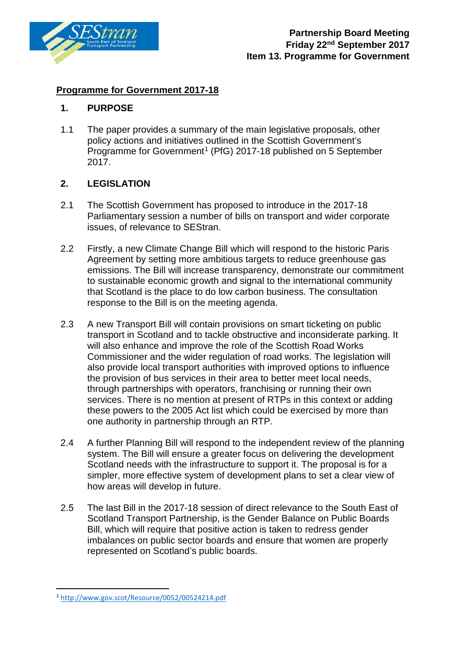

# **Programme for Government 2017-18**

## **1. PURPOSE**

1.1 The paper provides a summary of the main legislative proposals, other policy actions and initiatives outlined in the Scottish Government's Programme for Government<sup>[1](#page-0-0)</sup> (PfG) 2017-18 published on 5 September 2017.

# **2. LEGISLATION**

- 2.1 The Scottish Government has proposed to introduce in the 2017-18 Parliamentary session a number of bills on transport and wider corporate issues, of relevance to SEStran.
- 2.2 Firstly, a new Climate Change Bill which will respond to the historic Paris Agreement by setting more ambitious targets to reduce greenhouse gas emissions. The Bill will increase transparency, demonstrate our commitment to sustainable economic growth and signal to the international community that Scotland is the place to do low carbon business. The consultation response to the Bill is on the meeting agenda.
- 2.3 A new Transport Bill will contain provisions on smart ticketing on public transport in Scotland and to tackle obstructive and inconsiderate parking. It will also enhance and improve the role of the Scottish Road Works Commissioner and the wider regulation of road works. The legislation will also provide local transport authorities with improved options to influence the provision of bus services in their area to better meet local needs, through partnerships with operators, franchising or running their own services. There is no mention at present of RTPs in this context or adding these powers to the 2005 Act list which could be exercised by more than one authority in partnership through an RTP.
- 2.4 A further Planning Bill will respond to the independent review of the planning system. The Bill will ensure a greater focus on delivering the development Scotland needs with the infrastructure to support it. The proposal is for a simpler, more effective system of development plans to set a clear view of how areas will develop in future.
- 2.5 The last Bill in the 2017-18 session of direct relevance to the South East of Scotland Transport Partnership, is the Gender Balance on Public Boards Bill, which will require that positive action is taken to redress gender imbalances on public sector boards and ensure that women are properly represented on Scotland's public boards.

<span id="page-0-0"></span><sup>1</sup> <http://www.gov.scot/Resource/0052/00524214.pdf>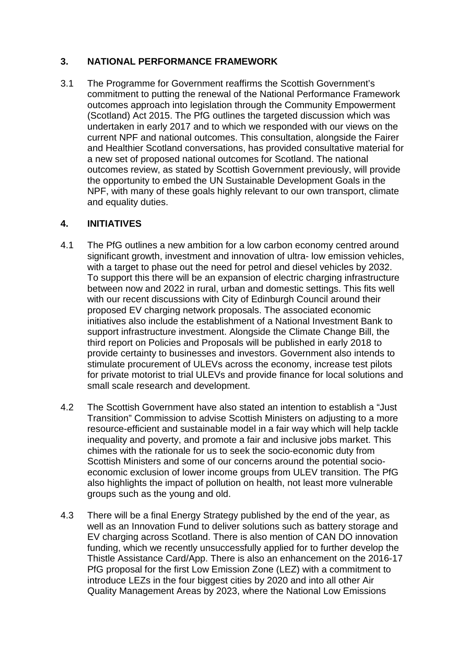## **3. NATIONAL PERFORMANCE FRAMEWORK**

3.1 The Programme for Government reaffirms the Scottish Government's commitment to putting the renewal of the National Performance Framework outcomes approach into legislation through the Community Empowerment (Scotland) Act 2015. The PfG outlines the targeted discussion which was undertaken in early 2017 and to which we responded with our views on the current NPF and national outcomes. This consultation, alongside the Fairer and Healthier Scotland conversations, has provided consultative material for a new set of proposed national outcomes for Scotland. The national outcomes review, as stated by Scottish Government previously, will provide the opportunity to embed the UN Sustainable Development Goals in the NPF, with many of these goals highly relevant to our own transport, climate and equality duties.

### **4. INITIATIVES**

- 4.1 The PfG outlines a new ambition for a low carbon economy centred around significant growth, investment and innovation of ultra- low emission vehicles, with a target to phase out the need for petrol and diesel vehicles by 2032. To support this there will be an expansion of electric charging infrastructure between now and 2022 in rural, urban and domestic settings. This fits well with our recent discussions with City of Edinburgh Council around their proposed EV charging network proposals. The associated economic initiatives also include the establishment of a National Investment Bank to support infrastructure investment. Alongside the Climate Change Bill, the third report on Policies and Proposals will be published in early 2018 to provide certainty to businesses and investors. Government also intends to stimulate procurement of ULEVs across the economy, increase test pilots for private motorist to trial ULEVs and provide finance for local solutions and small scale research and development.
- 4.2 The Scottish Government have also stated an intention to establish a "Just Transition" Commission to advise Scottish Ministers on adjusting to a more resource-efficient and sustainable model in a fair way which will help tackle inequality and poverty, and promote a fair and inclusive jobs market. This chimes with the rationale for us to seek the socio-economic duty from Scottish Ministers and some of our concerns around the potential socioeconomic exclusion of lower income groups from ULEV transition. The PfG also highlights the impact of pollution on health, not least more vulnerable groups such as the young and old.
- 4.3 There will be a final Energy Strategy published by the end of the year, as well as an Innovation Fund to deliver solutions such as battery storage and EV charging across Scotland. There is also mention of CAN DO innovation funding, which we recently unsuccessfully applied for to further develop the Thistle Assistance Card/App. There is also an enhancement on the 2016-17 PfG proposal for the first Low Emission Zone (LEZ) with a commitment to introduce LEZs in the four biggest cities by 2020 and into all other Air Quality Management Areas by 2023, where the National Low Emissions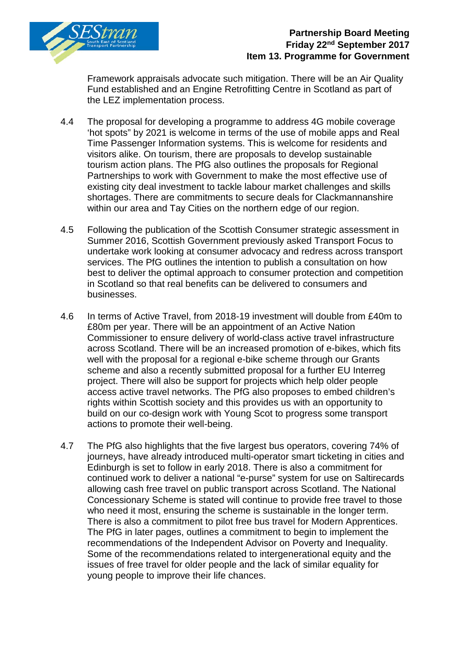

# **Partnership Board Meeting Friday 22nd September 2017 Item 13. Programme for Government**

Framework appraisals advocate such mitigation. There will be an Air Quality Fund established and an Engine Retrofitting Centre in Scotland as part of the LEZ implementation process.

- 4.4 The proposal for developing a programme to address 4G mobile coverage 'hot spots" by 2021 is welcome in terms of the use of mobile apps and Real Time Passenger Information systems. This is welcome for residents and visitors alike. On tourism, there are proposals to develop sustainable tourism action plans. The PfG also outlines the proposals for Regional Partnerships to work with Government to make the most effective use of existing city deal investment to tackle labour market challenges and skills shortages. There are commitments to secure deals for Clackmannanshire within our area and Tay Cities on the northern edge of our region.
- 4.5 Following the publication of the Scottish Consumer strategic assessment in Summer 2016, Scottish Government previously asked Transport Focus to undertake work looking at consumer advocacy and redress across transport services. The PfG outlines the intention to publish a consultation on how best to deliver the optimal approach to consumer protection and competition in Scotland so that real benefits can be delivered to consumers and businesses.
- 4.6 In terms of Active Travel, from 2018-19 investment will double from £40m to £80m per year. There will be an appointment of an Active Nation Commissioner to ensure delivery of world-class active travel infrastructure across Scotland. There will be an increased promotion of e-bikes, which fits well with the proposal for a regional e-bike scheme through our Grants scheme and also a recently submitted proposal for a further EU Interreg project. There will also be support for projects which help older people access active travel networks. The PfG also proposes to embed children's rights within Scottish society and this provides us with an opportunity to build on our co-design work with Young Scot to progress some transport actions to promote their well-being.
- 4.7 The PfG also highlights that the five largest bus operators, covering 74% of journeys, have already introduced multi-operator smart ticketing in cities and Edinburgh is set to follow in early 2018. There is also a commitment for continued work to deliver a national "e-purse" system for use on Saltirecards allowing cash free travel on public transport across Scotland. The National Concessionary Scheme is stated will continue to provide free travel to those who need it most, ensuring the scheme is sustainable in the longer term. There is also a commitment to pilot free bus travel for Modern Apprentices. The PfG in later pages, outlines a commitment to begin to implement the recommendations of the Independent Advisor on Poverty and Inequality. Some of the recommendations related to intergenerational equity and the issues of free travel for older people and the lack of similar equality for young people to improve their life chances.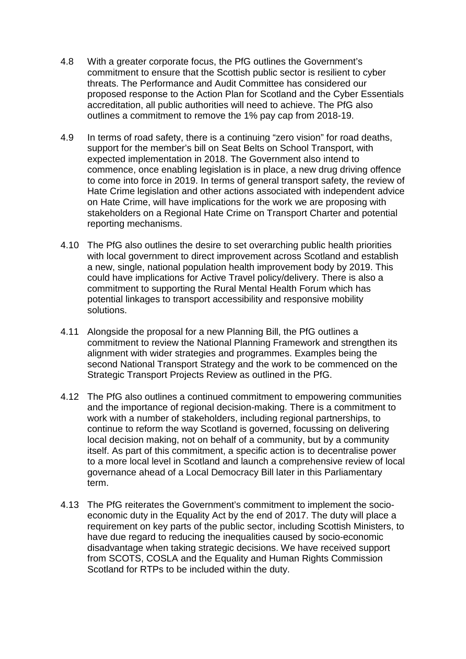- 4.8 With a greater corporate focus, the PfG outlines the Government's commitment to ensure that the Scottish public sector is resilient to cyber threats. The Performance and Audit Committee has considered our proposed response to the Action Plan for Scotland and the Cyber Essentials accreditation, all public authorities will need to achieve. The PfG also outlines a commitment to remove the 1% pay cap from 2018-19.
- 4.9 In terms of road safety, there is a continuing "zero vision" for road deaths, support for the member's bill on Seat Belts on School Transport, with expected implementation in 2018. The Government also intend to commence, once enabling legislation is in place, a new drug driving offence to come into force in 2019. In terms of general transport safety, the review of Hate Crime legislation and other actions associated with independent advice on Hate Crime, will have implications for the work we are proposing with stakeholders on a Regional Hate Crime on Transport Charter and potential reporting mechanisms.
- 4.10 The PfG also outlines the desire to set overarching public health priorities with local government to direct improvement across Scotland and establish a new, single, national population health improvement body by 2019. This could have implications for Active Travel policy/delivery. There is also a commitment to supporting the Rural Mental Health Forum which has potential linkages to transport accessibility and responsive mobility solutions.
- 4.11 Alongside the proposal for a new Planning Bill, the PfG outlines a commitment to review the National Planning Framework and strengthen its alignment with wider strategies and programmes. Examples being the second National Transport Strategy and the work to be commenced on the Strategic Transport Projects Review as outlined in the PfG.
- 4.12 The PfG also outlines a continued commitment to empowering communities and the importance of regional decision-making. There is a commitment to work with a number of stakeholders, including regional partnerships, to continue to reform the way Scotland is governed, focussing on delivering local decision making, not on behalf of a community, but by a community itself. As part of this commitment, a specific action is to decentralise power to a more local level in Scotland and launch a comprehensive review of local governance ahead of a Local Democracy Bill later in this Parliamentary term.
- 4.13 The PfG reiterates the Government's commitment to implement the socioeconomic duty in the Equality Act by the end of 2017. The duty will place a requirement on key parts of the public sector, including Scottish Ministers, to have due regard to reducing the inequalities caused by socio-economic disadvantage when taking strategic decisions. We have received support from SCOTS, COSLA and the Equality and Human Rights Commission Scotland for RTPs to be included within the duty.